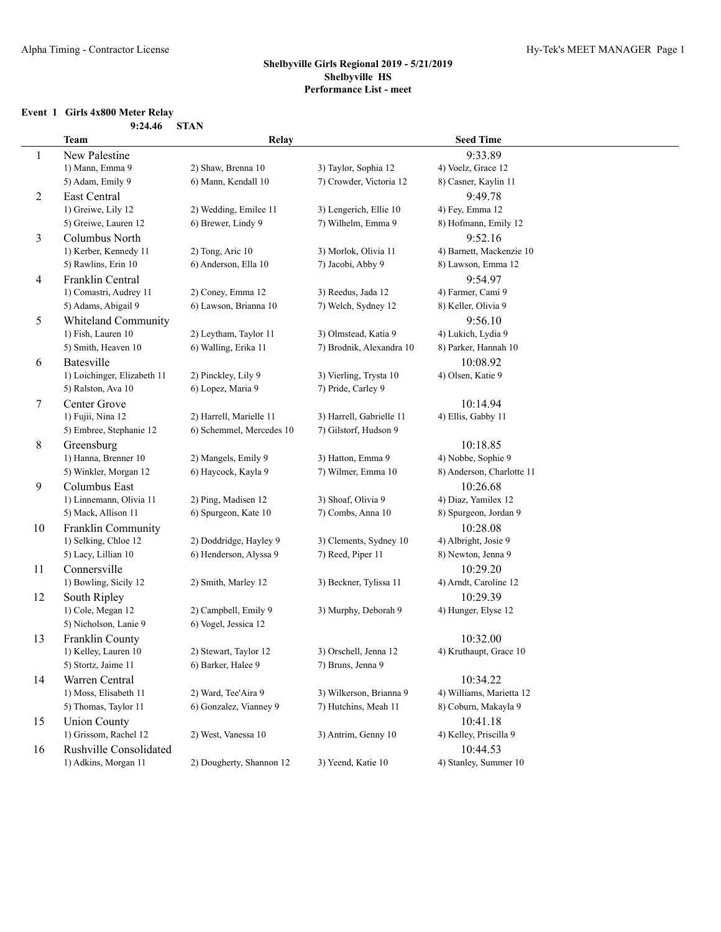## **Event 1 Girls 4x800 Meter Relay**

|                | 9:24.46                     | <b>STAN</b>              |                          |                           |
|----------------|-----------------------------|--------------------------|--------------------------|---------------------------|
|                | <b>Team</b>                 | Relay                    |                          | <b>Seed Time</b>          |
| 1              | New Palestine               |                          |                          | 9:33.89                   |
|                | 1) Mann, Emma 9             | 2) Shaw, Brenna 10       | 3) Taylor, Sophia 12     | 4) Voelz, Grace 12        |
|                | 5) Adam, Emily 9            | 6) Mann, Kendall 10      | 7) Crowder, Victoria 12  | 8) Casner, Kaylin 11      |
| $\overline{c}$ | East Central                |                          |                          | 9:49.78                   |
|                | 1) Greiwe, Lily 12          | 2) Wedding, Emilee 11    | 3) Lengerich, Ellie 10   | 4) Fey, Emma 12           |
|                | 5) Greiwe, Lauren 12        | 6) Brewer, Lindy 9       | 7) Wilhelm, Emma 9       | 8) Hofmann, Emily 12      |
| 3              | Columbus North              |                          |                          | 9:52.16                   |
|                | 1) Kerber, Kennedy 11       | 2) Tong, Aric 10         | 3) Morlok, Olivia 11     | 4) Barnett, Mackenzie 10  |
|                | 5) Rawlins, Erin 10         | 6) Anderson, Ella 10     | 7) Jacobi, Abby 9        | 8) Lawson, Emma 12        |
| 4              | Franklin Central            |                          |                          | 9:54.97                   |
|                | 1) Comastri, Audrey 11      | 2) Coney, Emma 12        | 3) Reedus, Jada 12       | 4) Farmer, Cami 9         |
|                | 5) Adams, Abigail 9         | 6) Lawson, Brianna 10    | 7) Welch, Sydney 12      | 8) Keller, Olivia 9       |
| 5              | Whiteland Community         |                          |                          | 9:56.10                   |
|                | 1) Fish, Lauren 10          | 2) Leytham, Taylor 11    | 3) Olmstead, Katia 9     | 4) Lukich, Lydia 9        |
|                | 5) Smith, Heaven 10         | 6) Walling, Erika 11     | 7) Brodnik, Alexandra 10 | 8) Parker, Hannah 10      |
| 6              | Batesville                  |                          |                          | 10:08.92                  |
|                | 1) Loichinger, Elizabeth 11 | 2) Pinckley, Lily 9      | 3) Vierling, Trysta 10   | 4) Olsen, Katie 9         |
|                | 5) Ralston, Ava 10          | 6) Lopez, Maria 9        | 7) Pride, Carley 9       |                           |
| 7              | Center Grove                |                          |                          | 10:14.94                  |
|                | 1) Fujii, Nina 12           | 2) Harrell, Marielle 11  | 3) Harrell, Gabrielle 11 | 4) Ellis, Gabby 11        |
|                | 5) Embree, Stephanie 12     | 6) Schemmel, Mercedes 10 | 7) Gilstorf, Hudson 9    |                           |
| 8              | Greensburg                  |                          |                          | 10:18.85                  |
|                | 1) Hanna, Brenner 10        | 2) Mangels, Emily 9      | 3) Hatton, Emma 9        | 4) Nobbe, Sophie 9        |
|                | 5) Winkler, Morgan 12       | 6) Haycock, Kayla 9      | 7) Wilmer, Emma 10       | 8) Anderson, Charlotte 11 |
| 9              | Columbus East               |                          |                          | 10:26.68                  |
|                | 1) Linnemann, Olivia 11     | 2) Ping, Madisen 12      | 3) Shoaf, Olivia 9       | 4) Diaz, Yamilex 12       |
|                | 5) Mack, Allison 11         | 6) Spurgeon, Kate 10     | 7) Combs, Anna 10        | 8) Spurgeon, Jordan 9     |
| 10             | Franklin Community          |                          |                          | 10:28.08                  |
|                | 1) Selking, Chloe 12        | 2) Doddridge, Hayley 9   | 3) Clements, Sydney 10   | 4) Albright, Josie 9      |
|                | 5) Lacy, Lillian 10         | 6) Henderson, Alyssa 9   | 7) Reed, Piper 11        | 8) Newton, Jenna 9        |
| 11             | Connersville                |                          |                          | 10:29.20                  |
|                | 1) Bowling, Sicily 12       | 2) Smith, Marley 12      | 3) Beckner, Tylissa 11   | 4) Arndt, Caroline 12     |
| 12             | South Ripley                |                          |                          | 10:29.39                  |
|                | 1) Cole, Megan 12           | 2) Campbell, Emily 9     | 3) Murphy, Deborah 9     | 4) Hunger, Elyse 12       |
|                | 5) Nicholson, Lanie 9       | 6) Vogel, Jessica 12     |                          |                           |
| 13             | Franklin County             |                          |                          | 10:32.00                  |
|                | 1) Kelley, Lauren 10        | 2) Stewart, Taylor 12    | 3) Orschell, Jenna 12    | 4) Kruthaupt, Grace 10    |
|                | 5) Stortz, Jaime 11         | 6) Barker, Halee 9       | 7) Bruns, Jenna 9        |                           |
| 14             | Warren Central              |                          |                          | 10:34.22                  |
|                | 1) Moss, Elisabeth 11       | 2) Ward, Tee'Aira 9      | 3) Wilkerson, Brianna 9  | 4) Williams, Marietta 12  |
|                | 5) Thomas, Taylor 11        | 6) Gonzalez, Vianney 9   | 7) Hutchins, Meah 11     | 8) Coburn, Makayla 9      |
| 15             | <b>Union County</b>         |                          |                          | 10:41.18                  |
|                | 1) Grissom, Rachel 12       | 2) West, Vanessa 10      | 3) Antrim, Genny 10      | 4) Kelley, Priscilla 9    |
| 16             | Rushville Consolidated      |                          |                          | 10:44.53                  |
|                | 1) Adkins, Morgan 11        | 2) Dougherty, Shannon 12 | 3) Yeend, Katie 10       | 4) Stanley, Summer 10     |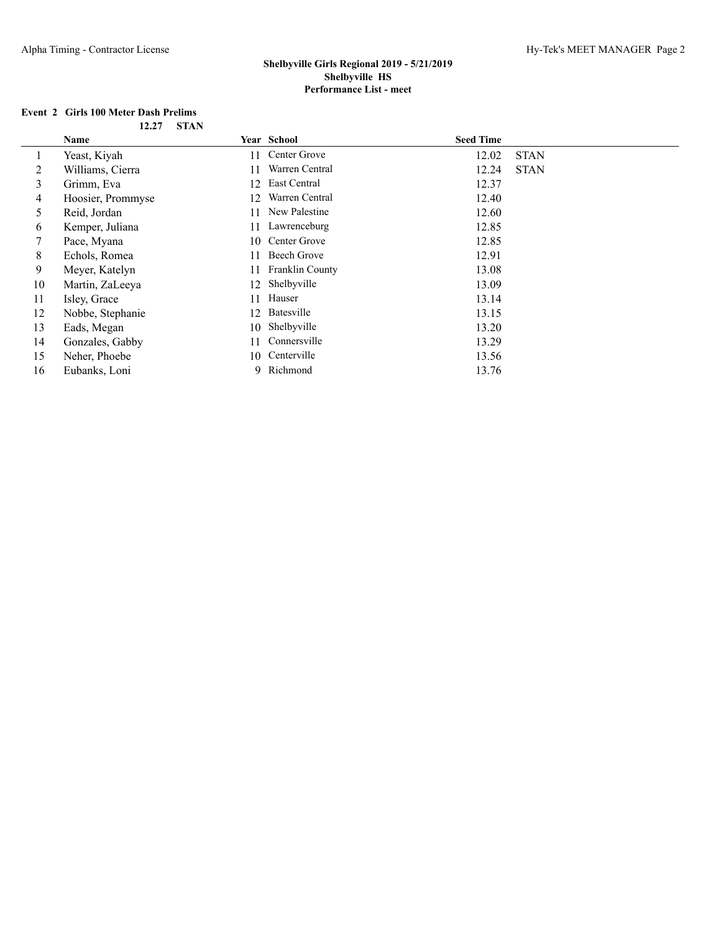## **Event 2 Girls 100 Meter Dash Prelims**

| 12.27 | <b>STAN</b> |
|-------|-------------|
|       |             |

|    | Name              |    | Year School     | <b>Seed Time</b> |             |
|----|-------------------|----|-----------------|------------------|-------------|
|    | Yeast, Kiyah      | 11 | Center Grove    | 12.02            | <b>STAN</b> |
| 2  | Williams, Cierra  | 11 | Warren Central  | 12.24            | <b>STAN</b> |
| 3  | Grimm, Eva        | 12 | East Central    | 12.37            |             |
| 4  | Hoosier, Prommyse | 12 | Warren Central  | 12.40            |             |
| 5  | Reid, Jordan      | 11 | New Palestine   | 12.60            |             |
| 6  | Kemper, Juliana   | 11 | Lawrenceburg    | 12.85            |             |
| 7  | Pace, Myana       | 10 | Center Grove    | 12.85            |             |
| 8  | Echols, Romea     | 11 | Beech Grove     | 12.91            |             |
| 9  | Meyer, Katelyn    | 11 | Franklin County | 13.08            |             |
| 10 | Martin, ZaLeeya   | 12 | Shelbyville     | 13.09            |             |
| 11 | Isley, Grace      | 11 | Hauser          | 13.14            |             |
| 12 | Nobbe, Stephanie  | 12 | Batesville      | 13.15            |             |
| 13 | Eads, Megan       | 10 | Shelbyville     | 13.20            |             |
| 14 | Gonzales, Gabby   | 11 | Connersville    | 13.29            |             |
| 15 | Neher, Phoebe     | 10 | Centerville     | 13.56            |             |
| 16 | Eubanks, Loni     |    | 9 Richmond      | 13.76            |             |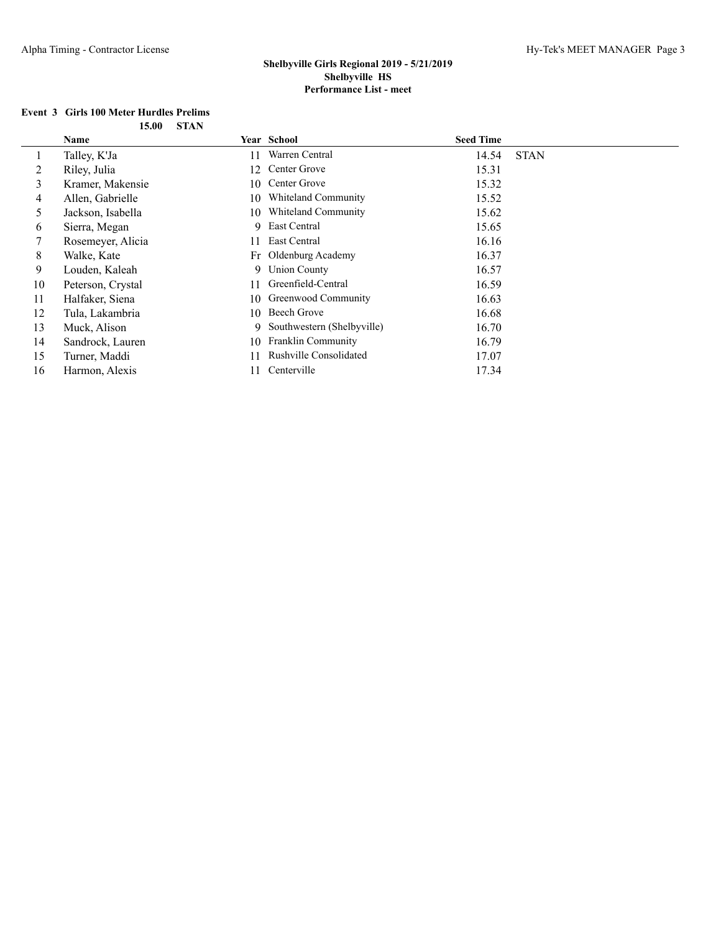#### **Event 3 Girls 100 Meter Hurdles Prelims 15.00 STAN**

|              | Name              |     | Year School                | <b>Seed Time</b> |             |
|--------------|-------------------|-----|----------------------------|------------------|-------------|
| $\mathbf{I}$ | Talley, K'Ja      | 11  | Warren Central             | 14.54            | <b>STAN</b> |
| 2            | Riley, Julia      | 12  | Center Grove               | 15.31            |             |
| 3            | Kramer, Makensie  | 10  | Center Grove               | 15.32            |             |
| 4            | Allen, Gabrielle  | 10  | Whiteland Community        | 15.52            |             |
| 5.           | Jackson, Isabella | 10  | Whiteland Community        | 15.62            |             |
| 6            | Sierra, Megan     |     | 9 East Central             | 15.65            |             |
|              | Rosemeyer, Alicia | 11  | <b>East Central</b>        | 16.16            |             |
| 8            | Walke, Kate       |     | Fr Oldenburg Academy       | 16.37            |             |
| 9            | Louden, Kaleah    |     | 9 Union County             | 16.57            |             |
| 10           | Peterson, Crystal | 11  | Greenfield-Central         | 16.59            |             |
| 11           | Halfaker, Siena   | 10  | Greenwood Community        | 16.63            |             |
| 12           | Tula, Lakambria   | 10  | Beech Grove                | 16.68            |             |
| 13           | Muck, Alison      | 9   | Southwestern (Shelbyville) | 16.70            |             |
| 14           | Sandrock, Lauren  | 10. | Franklin Community         | 16.79            |             |
| 15           | Turner, Maddi     | 11  | Rushville Consolidated     | 17.07            |             |
| 16           | Harmon, Alexis    | 11  | Centerville                | 17.34            |             |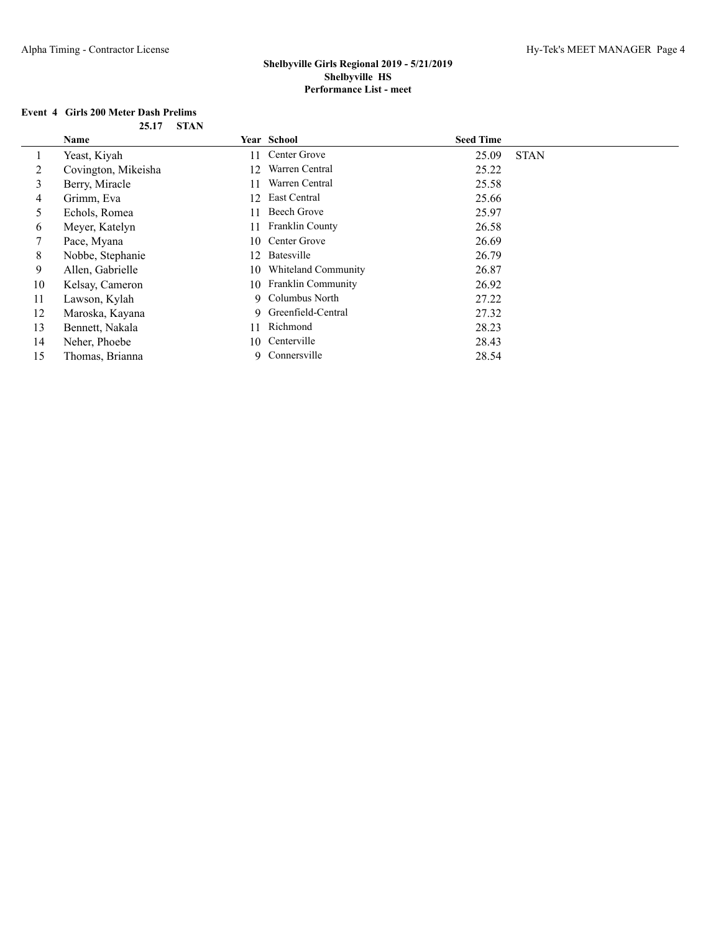## **Event 4 Girls 200 Meter Dash Prelims**

| 25.17 | <b>STAN</b> |
|-------|-------------|
|-------|-------------|

|    | Name                |    | Year School           | <b>Seed Time</b> |             |
|----|---------------------|----|-----------------------|------------------|-------------|
|    | Yeast, Kiyah        | 11 | Center Grove          | 25.09            | <b>STAN</b> |
| 2  | Covington, Mikeisha | 12 | Warren Central        | 25.22            |             |
| 3  | Berry, Miracle      | 11 | Warren Central        | 25.58            |             |
| 4  | Grimm, Eva          | 12 | East Central          | 25.66            |             |
| 5  | Echols, Romea       | 11 | Beech Grove           | 25.97            |             |
| 6  | Meyer, Katelyn      | 11 | Franklin County       | 26.58            |             |
|    | Pace, Myana         | 10 | Center Grove          | 26.69            |             |
| 8  | Nobbe, Stephanie    | 12 | Batesville            | 26.79            |             |
| 9  | Allen, Gabrielle    | 10 | Whiteland Community   | 26.87            |             |
| 10 | Kelsay, Cameron     |    | 10 Franklin Community | 26.92            |             |
| 11 | Lawson, Kylah       |    | 9 Columbus North      | 27.22            |             |
| 12 | Maroska, Kayana     |    | 9 Greenfield-Central  | 27.32            |             |
| 13 | Bennett, Nakala     | 11 | Richmond              | 28.23            |             |
| 14 | Neher, Phoebe       | 10 | Centerville           | 28.43            |             |
| 15 | Thomas, Brianna     | 9. | Connersville          | 28.54            |             |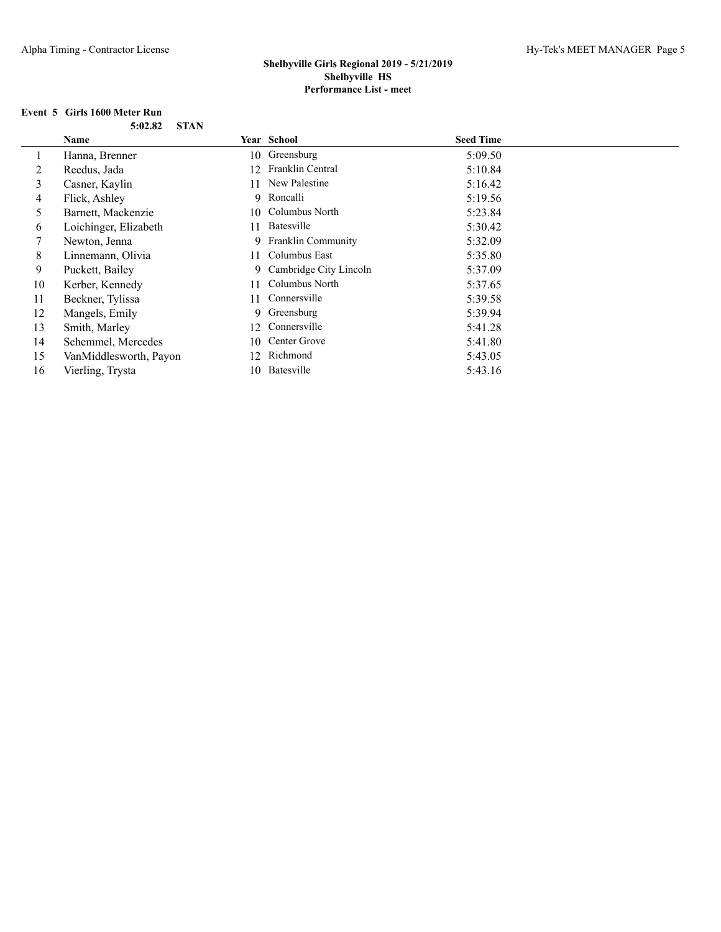## **Event 5 Girls 1600 Meter Run**

|    | Name                   |    | <b>Year School</b>       | <b>Seed Time</b> |  |
|----|------------------------|----|--------------------------|------------------|--|
|    | Hanna, Brenner         |    | 10 Greensburg            | 5:09.50          |  |
| 2  | Reedus, Jada           | 12 | Franklin Central         | 5:10.84          |  |
| 3  | Casner, Kaylin         |    | 11 New Palestine         | 5:16.42          |  |
| 4  | Flick, Ashley          |    | 9 Roncalli               | 5:19.56          |  |
| 5  | Barnett, Mackenzie     |    | 10 Columbus North        | 5:23.84          |  |
| 6  | Loichinger, Elizabeth  | 11 | Batesville               | 5:30.42          |  |
| 7  | Newton, Jenna          |    | 9 Franklin Community     | 5:32.09          |  |
| 8  | Linnemann, Olivia      |    | 11 Columbus East         | 5:35.80          |  |
| 9  | Puckett, Bailey        |    | 9 Cambridge City Lincoln | 5:37.09          |  |
| 10 | Kerber, Kennedy        | 11 | Columbus North           | 5:37.65          |  |
| 11 | Beckner, Tylissa       | 11 | Connersville             | 5:39.58          |  |
| 12 | Mangels, Emily         |    | 9 Greensburg             | 5:39.94          |  |
| 13 | Smith, Marley          | 12 | Connersville             | 5:41.28          |  |
| 14 | Schemmel, Mercedes     | 10 | Center Grove             | 5:41.80          |  |
| 15 | VanMiddlesworth, Payon | 12 | Richmond                 | 5:43.05          |  |
| 16 | Vierling, Trysta       | 10 | Batesville               | 5:43.16          |  |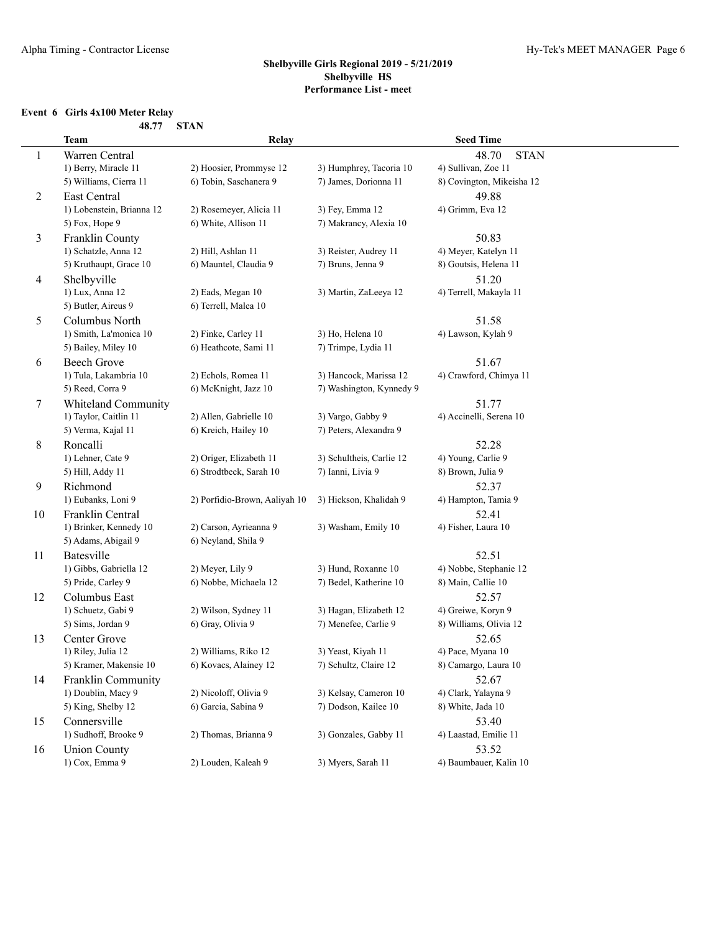## **Event 6 Girls 4x100 Meter Relay**

| 48.77 | STAN |
|-------|------|
|       |      |

|                | Team                          | Relay                                          |                                             | <b>Seed Time</b>            |
|----------------|-------------------------------|------------------------------------------------|---------------------------------------------|-----------------------------|
| $\mathbf{1}$   | Warren Central                |                                                |                                             | 48.70<br><b>STAN</b>        |
|                | 1) Berry, Miracle 11          | 2) Hoosier, Prommyse 12                        | 3) Humphrey, Tacoria 10                     | 4) Sullivan, Zoe 11         |
|                | 5) Williams, Cierra 11        | 6) Tobin, Saschanera 9                         | 7) James, Dorionna 11                       | 8) Covington, Mikeisha 12   |
| $\overline{c}$ | East Central                  |                                                |                                             | 49.88                       |
|                | 1) Lobenstein, Brianna 12     | 2) Rosemeyer, Alicia 11                        | 3) Fey, Emma 12                             | 4) Grimm, Eva 12            |
|                | 5) Fox, Hope 9                | 6) White, Allison 11                           | 7) Makrancy, Alexia 10                      |                             |
| 3              | Franklin County               |                                                |                                             | 50.83                       |
|                | 1) Schatzle, Anna 12          | 2) Hill, Ashlan 11                             | 3) Reister, Audrey 11                       | 4) Meyer, Katelyn 11        |
|                | 5) Kruthaupt, Grace 10        | 6) Mauntel, Claudia 9                          | 7) Bruns, Jenna 9                           | 8) Goutsis, Helena 11       |
| 4              | Shelbyville                   |                                                |                                             | 51.20                       |
|                | 1) Lux, Anna 12               | 2) Eads, Megan 10                              | 3) Martin, ZaLeeya 12                       | 4) Terrell, Makayla 11      |
|                | 5) Butler, Aireus 9           | 6) Terrell, Malea 10                           |                                             |                             |
| 5              | Columbus North                |                                                |                                             | 51.58                       |
|                | 1) Smith, La'monica 10        | 2) Finke, Carley 11                            | 3) Ho, Helena 10                            | 4) Lawson, Kylah 9          |
|                | 5) Bailey, Miley 10           | 6) Heathcote, Sami 11                          | 7) Trimpe, Lydia 11                         |                             |
| 6              | <b>Beech Grove</b>            |                                                |                                             | 51.67                       |
|                | 1) Tula, Lakambria 10         | 2) Echols, Romea 11                            | 3) Hancock, Marissa 12                      | 4) Crawford, Chimya 11      |
|                | 5) Reed, Corra 9              | 6) McKnight, Jazz 10                           | 7) Washington, Kynnedy 9                    |                             |
| 7              | <b>Whiteland Community</b>    |                                                |                                             | 51.77                       |
|                | 1) Taylor, Caitlin 11         | 2) Allen, Gabrielle 10<br>6) Kreich, Hailey 10 | 3) Vargo, Gabby 9<br>7) Peters, Alexandra 9 | 4) Accinelli, Serena 10     |
|                | 5) Verma, Kajal 11            |                                                |                                             |                             |
| 8              | Roncalli<br>1) Lehner, Cate 9 | 2) Origer, Elizabeth 11                        | 3) Schultheis, Carlie 12                    | 52.28<br>4) Young, Carlie 9 |
|                | 5) Hill, Addy 11              | 6) Strodtbeck, Sarah 10                        | 7) Ianni, Livia 9                           | 8) Brown, Julia 9           |
| 9              | Richmond                      |                                                |                                             | 52.37                       |
|                | 1) Eubanks, Loni 9            | 2) Porfidio-Brown, Aaliyah 10                  | 3) Hickson, Khalidah 9                      | 4) Hampton, Tamia 9         |
| 10             | Franklin Central              |                                                |                                             | 52.41                       |
|                | 1) Brinker, Kennedy 10        | 2) Carson, Ayrieanna 9                         | 3) Washam, Emily 10                         | 4) Fisher, Laura 10         |
|                | 5) Adams, Abigail 9           | 6) Neyland, Shila 9                            |                                             |                             |
| 11             | Batesville                    |                                                |                                             | 52.51                       |
|                | 1) Gibbs, Gabriella 12        | 2) Meyer, Lily 9                               | 3) Hund, Roxanne 10                         | 4) Nobbe, Stephanie 12      |
|                | 5) Pride, Carley 9            | 6) Nobbe, Michaela 12                          | 7) Bedel, Katherine 10                      | 8) Main, Callie 10          |
| 12             | Columbus East                 |                                                |                                             | 52.57                       |
|                | 1) Schuetz, Gabi 9            | 2) Wilson, Sydney 11                           | 3) Hagan, Elizabeth 12                      | 4) Greiwe, Koryn 9          |
|                | 5) Sims, Jordan 9             | 6) Gray, Olivia 9                              | 7) Menefee, Carlie 9                        | 8) Williams, Olivia 12      |
| 13             | Center Grove                  |                                                |                                             | 52.65                       |
|                | 1) Riley, Julia 12            | 2) Williams, Riko 12                           | 3) Yeast, Kiyah 11                          | 4) Pace, Myana 10           |
|                | 5) Kramer, Makensie 10        | 6) Kovacs, Alainey 12                          | 7) Schultz, Claire 12                       | 8) Camargo, Laura 10        |
| 14             | Franklin Community            |                                                |                                             | 52.67                       |
|                | 1) Doublin, Macy 9            | 2) Nicoloff, Olivia 9                          | 3) Kelsay, Cameron 10                       | 4) Clark, Yalayna 9         |
|                | 5) King, Shelby 12            | 6) Garcia, Sabina 9                            | 7) Dodson, Kailee 10                        | 8) White, Jada 10           |
| 15             | Connersville                  |                                                |                                             | 53.40                       |
|                | 1) Sudhoff, Brooke 9          | 2) Thomas, Brianna 9                           | 3) Gonzales, Gabby 11                       | 4) Laastad, Emilie 11       |
| 16             | <b>Union County</b>           |                                                |                                             | 53.52                       |
|                | 1) Cox, Emma 9                | 2) Louden, Kaleah 9                            | 3) Myers, Sarah 11                          | 4) Baumbauer, Kalin 10      |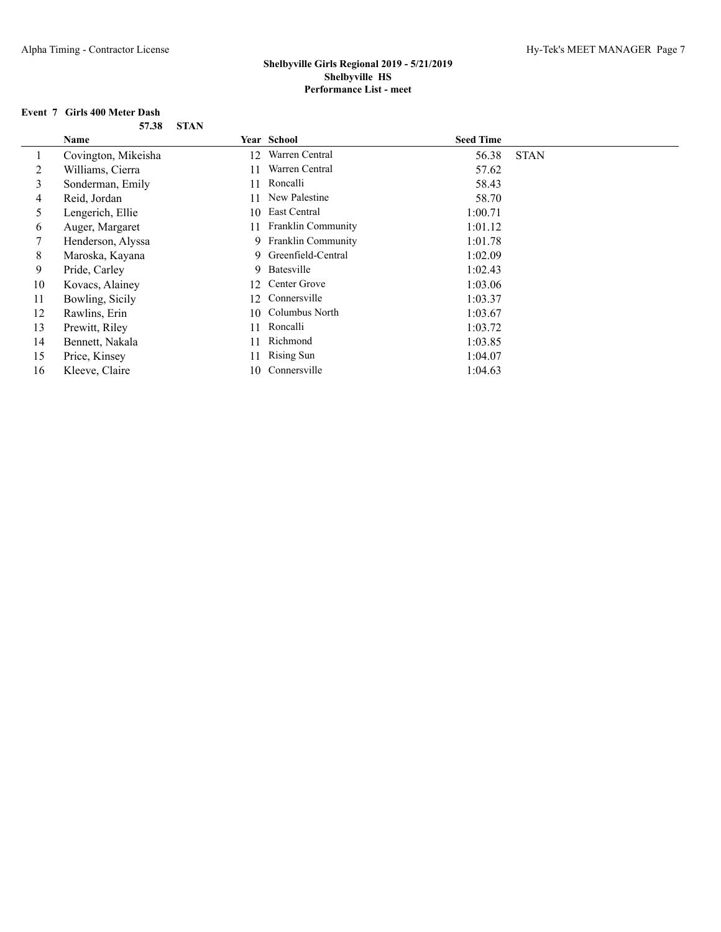## **Event 7 Girls 400 Meter Dash**

|    | Name                |     | Year School          | <b>Seed Time</b> |             |
|----|---------------------|-----|----------------------|------------------|-------------|
|    | Covington, Mikeisha | 12  | Warren Central       | 56.38            | <b>STAN</b> |
| 2  | Williams, Cierra    | 11  | Warren Central       | 57.62            |             |
| 3  | Sonderman, Emily    | 11  | Roncalli             | 58.43            |             |
| 4  | Reid, Jordan        | 11  | New Palestine        | 58.70            |             |
| 5  | Lengerich, Ellie    | 10  | East Central         | 1:00.71          |             |
| 6  | Auger, Margaret     | 11  | Franklin Community   | 1:01.12          |             |
| 7  | Henderson, Alyssa   |     | 9 Franklin Community | 1:01.78          |             |
| 8  | Maroska, Kayana     |     | 9 Greenfield-Central | 1:02.09          |             |
| 9  | Pride, Carley       |     | 9 Batesville         | 1:02.43          |             |
| 10 | Kovacs, Alainey     | 12  | Center Grove         | 1:03.06          |             |
| 11 | Bowling, Sicily     | 12. | Connersville         | 1:03.37          |             |
| 12 | Rawlins, Erin       | 10  | Columbus North       | 1:03.67          |             |
| 13 | Prewitt, Riley      | 11  | Roncalli             | 1:03.72          |             |
| 14 | Bennett, Nakala     | 11  | Richmond             | 1:03.85          |             |
| 15 | Price, Kinsey       | 11  | <b>Rising Sun</b>    | 1:04.07          |             |
| 16 | Kleeve, Claire      | 10  | Connersville         | 1:04.63          |             |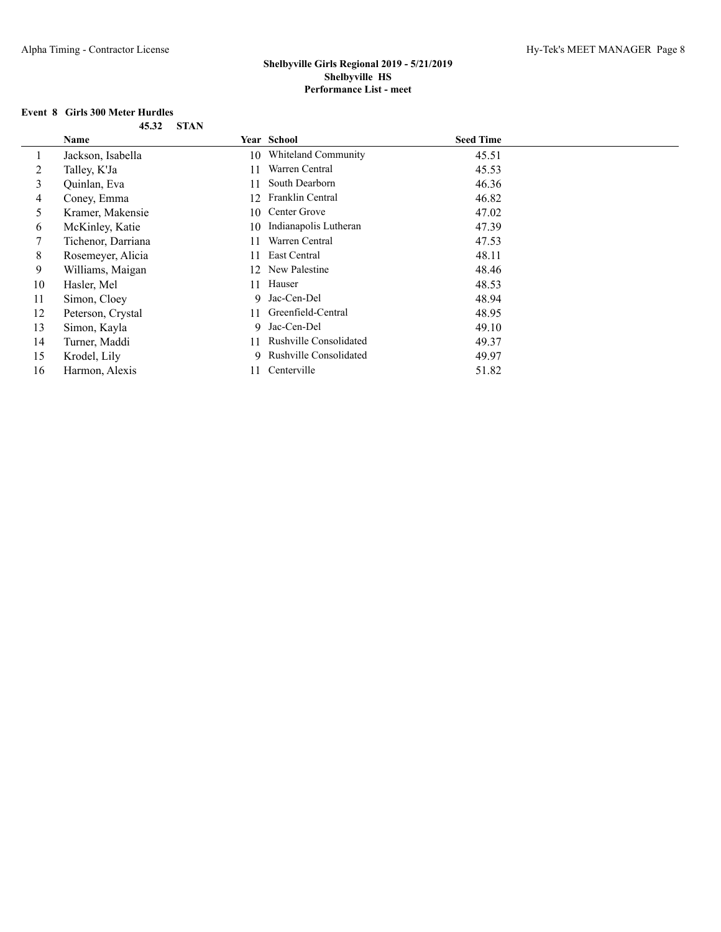## **Event 8 Girls 300 Meter Hurdles**

|    | Name               |    | Year School              | <b>Seed Time</b> |  |
|----|--------------------|----|--------------------------|------------------|--|
|    | Jackson, Isabella  |    | 10 Whiteland Community   | 45.51            |  |
| 2  | Talley, K'Ja       | 11 | Warren Central           | 45.53            |  |
| 3  | Quinlan, Eva       | 11 | South Dearborn           | 46.36            |  |
| 4  | Coney, Emma        | 12 | Franklin Central         | 46.82            |  |
| 5. | Kramer, Makensie   | 10 | Center Grove             | 47.02            |  |
| 6  | McKinley, Katie    | 10 | Indianapolis Lutheran    | 47.39            |  |
|    | Tichenor, Darriana | 11 | Warren Central           | 47.53            |  |
| 8  | Rosemeyer, Alicia  | 11 | East Central             | 48.11            |  |
| 9  | Williams, Maigan   |    | 12 New Palestine         | 48.46            |  |
| 10 | Hasler, Mel        | 11 | Hauser                   | 48.53            |  |
| 11 | Simon, Cloey       |    | 9 Jac-Cen-Del            | 48.94            |  |
| 12 | Peterson, Crystal  | 11 | Greenfield-Central       | 48.95            |  |
| 13 | Simon, Kayla       |    | 9 Jac-Cen-Del            | 49.10            |  |
| 14 | Turner, Maddi      | 11 | Rushville Consolidated   | 49.37            |  |
| 15 | Krodel, Lily       |    | 9 Rushville Consolidated | 49.97            |  |
| 16 | Harmon, Alexis     | 11 | Centerville              | 51.82            |  |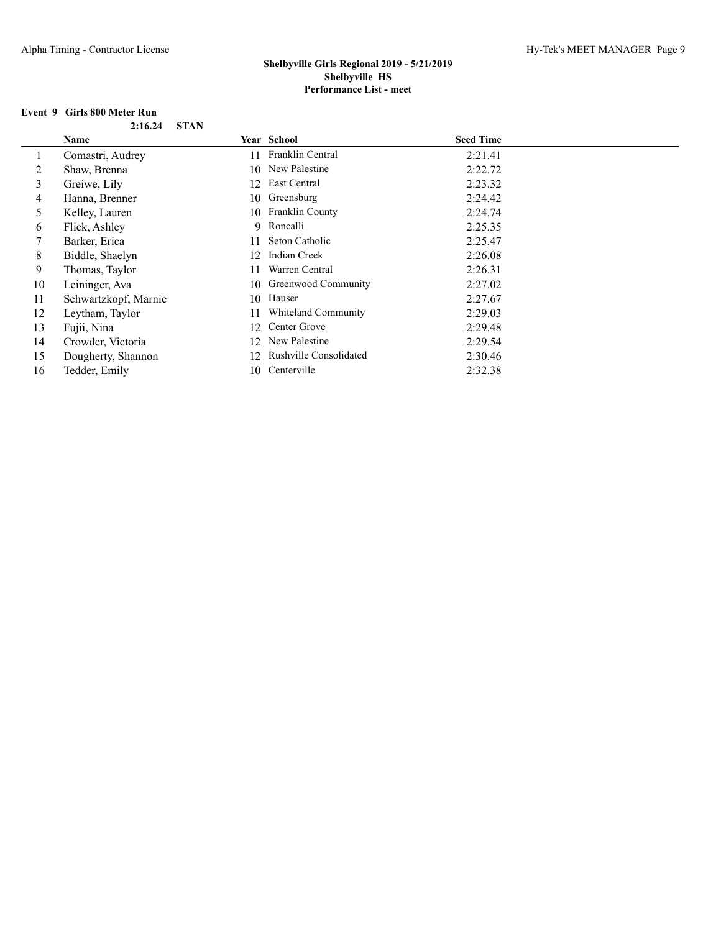## **Event 9 Girls 800 Meter Run**

| $2:16.24$ STAN |  |
|----------------|--|
|                |  |

|    | <b>Name</b>          |    | Year School            | <b>Seed Time</b> |
|----|----------------------|----|------------------------|------------------|
|    | Comastri, Audrey     | 11 | Franklin Central       | 2:21.41          |
| 2  | Shaw, Brenna         |    | 10 New Palestine       | 2:22.72          |
| 3  | Greiwe, Lily         |    | 12 East Central        | 2:23.32          |
| 4  | Hanna, Brenner       | 10 | Greensburg             | 2:24.42          |
| 5  | Kelley, Lauren       | 10 | Franklin County        | 2:24.74          |
| 6  | Flick, Ashley        |    | 9 Roncalli             | 2:25.35          |
|    | Barker, Erica        | 11 | Seton Catholic         | 2:25.47          |
| 8  | Biddle, Shaelyn      | 12 | Indian Creek           | 2:26.08          |
| 9  | Thomas, Taylor       | 11 | Warren Central         | 2:26.31          |
| 10 | Leininger, Ava       |    | 10 Greenwood Community | 2:27.02          |
| 11 | Schwartzkopf, Marnie | 10 | Hauser                 | 2:27.67          |
| 12 | Leytham, Taylor      | 11 | Whiteland Community    | 2:29.03          |
| 13 | Fujii, Nina          | 12 | Center Grove           | 2:29.48          |
| 14 | Crowder, Victoria    |    | 12 New Palestine       | 2:29.54          |
| 15 | Dougherty, Shannon   | 12 | Rushville Consolidated | 2:30.46          |
| 16 | Tedder, Emily        | 10 | Centerville            | 2:32.38          |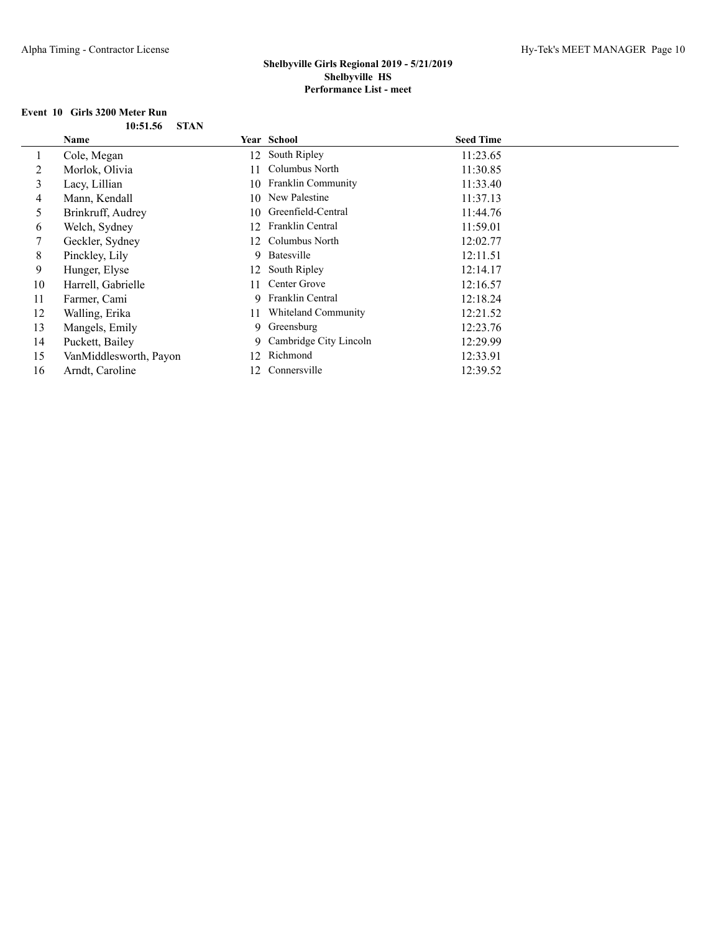# **Event 10 Girls 3200 Meter Run**

|    | Name                   |     | Year School               | <b>Seed Time</b> |  |
|----|------------------------|-----|---------------------------|------------------|--|
|    | Cole, Megan            |     | 12 South Ripley           | 11:23.65         |  |
| 2  | Morlok, Olivia         | 11  | Columbus North            | 11:30.85         |  |
| 3  | Lacy, Lillian          | 10  | <b>Franklin Community</b> | 11:33.40         |  |
| 4  | Mann, Kendall          |     | 10 New Palestine          | 11:37.13         |  |
| 5. | Brinkruff, Audrey      | 10  | Greenfield-Central        | 11:44.76         |  |
| 6  | Welch, Sydney          | 12  | Franklin Central          | 11:59.01         |  |
|    | Geckler, Sydney        |     | 12 Columbus North         | 12:02.77         |  |
| 8  | Pinckley, Lily         |     | 9 Batesville              | 12:11.51         |  |
| 9  | Hunger, Elyse          |     | 12 South Ripley           | 12:14.17         |  |
| 10 | Harrell, Gabrielle     | 11  | Center Grove              | 12:16.57         |  |
| 11 | Farmer, Cami           | 9   | Franklin Central          | 12:18.24         |  |
| 12 | Walling, Erika         | 11  | Whiteland Community       | 12:21.52         |  |
| 13 | Mangels, Emily         |     | 9 Greensburg              | 12:23.76         |  |
| 14 | Puckett, Bailey        |     | 9 Cambridge City Lincoln  | 12:29.99         |  |
| 15 | VanMiddlesworth, Payon | 12. | Richmond                  | 12:33.91         |  |
| 16 | Arndt, Caroline        | 12. | Connersville              | 12:39.52         |  |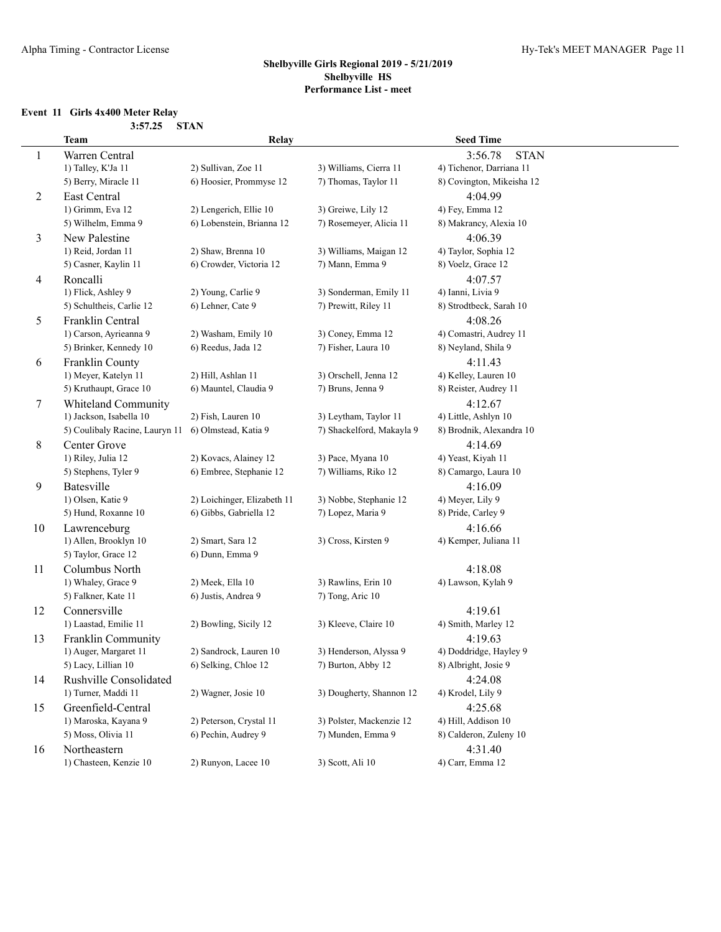# **Event 11 Girls 4x400 Meter Relay**<br>3.57.25 STAN

|                | 3:57.25                                      | <b>STAN</b>                 |                                              |                                                |
|----------------|----------------------------------------------|-----------------------------|----------------------------------------------|------------------------------------------------|
|                | <b>Team</b>                                  | Relay                       |                                              | <b>Seed Time</b>                               |
| 1              | Warren Central                               |                             |                                              | 3:56.78<br><b>STAN</b>                         |
|                | 1) Talley, K'Ja 11                           | 2) Sullivan, Zoe 11         | 3) Williams, Cierra 11                       | 4) Tichenor, Darriana 11                       |
|                | 5) Berry, Miracle 11                         | 6) Hoosier, Prommyse 12     | 7) Thomas, Taylor 11                         | 8) Covington, Mikeisha 12                      |
| $\overline{2}$ | East Central                                 |                             |                                              | 4:04.99                                        |
|                | 1) Grimm, Eva 12                             | 2) Lengerich, Ellie 10      | 3) Greiwe, Lily 12                           | 4) Fey, Emma 12                                |
|                | 5) Wilhelm, Emma 9                           | 6) Lobenstein, Brianna 12   | 7) Rosemeyer, Alicia 11                      | 8) Makrancy, Alexia 10                         |
| 3              | New Palestine                                |                             |                                              | 4:06.39                                        |
|                | 1) Reid, Jordan 11                           | 2) Shaw, Brenna 10          | 3) Williams, Maigan 12                       | 4) Taylor, Sophia 12                           |
|                | 5) Casner, Kaylin 11                         | 6) Crowder, Victoria 12     | 7) Mann, Emma 9                              | 8) Voelz, Grace 12                             |
| 4              | Roncalli                                     |                             |                                              | 4:07.57                                        |
|                | 1) Flick, Ashley 9                           | 2) Young, Carlie 9          | 3) Sonderman, Emily 11                       | 4) Ianni, Livia 9                              |
|                | 5) Schultheis, Carlie 12                     | 6) Lehner, Cate 9           | 7) Prewitt, Riley 11                         | 8) Strodtbeck, Sarah 10                        |
| 5              | Franklin Central                             |                             |                                              | 4:08.26                                        |
|                | 1) Carson, Ayrieanna 9                       | 2) Washam, Emily 10         | 3) Coney, Emma 12                            | 4) Comastri, Audrey 11                         |
|                | 5) Brinker, Kennedy 10                       | 6) Reedus, Jada 12          | 7) Fisher, Laura 10                          | 8) Neyland, Shila 9                            |
| 6              | Franklin County                              |                             |                                              | 4:11.43                                        |
|                | 1) Meyer, Katelyn 11                         | 2) Hill, Ashlan 11          | 3) Orschell, Jenna 12                        | 4) Kelley, Lauren 10                           |
|                | 5) Kruthaupt, Grace 10                       | 6) Mauntel, Claudia 9       | 7) Bruns, Jenna 9                            | 8) Reister, Audrey 11                          |
| 7              | Whiteland Community                          |                             |                                              | 4:12.67                                        |
|                | 1) Jackson, Isabella 10                      | 2) Fish, Lauren 10          | 3) Leytham, Taylor 11                        | 4) Little, Ashlyn 10                           |
|                | 5) Coulibaly Racine, Lauryn 11               | 6) Olmstead, Katia 9        | 7) Shackelford, Makayla 9                    | 8) Brodnik, Alexandra 10                       |
| 8              | Center Grove                                 |                             |                                              | 4:14.69                                        |
|                | 1) Riley, Julia 12                           | 2) Kovacs, Alainey 12       | 3) Pace, Myana 10                            | 4) Yeast, Kiyah 11                             |
|                | 5) Stephens, Tyler 9                         | 6) Embree, Stephanie 12     | 7) Williams, Riko 12                         | 8) Camargo, Laura 10                           |
| 9              | Batesville                                   |                             |                                              | 4:16.09                                        |
|                | 1) Olsen, Katie 9                            | 2) Loichinger, Elizabeth 11 | 3) Nobbe, Stephanie 12                       | 4) Meyer, Lily 9                               |
|                | 5) Hund, Roxanne 10                          | 6) Gibbs, Gabriella 12      | 7) Lopez, Maria 9                            | 8) Pride, Carley 9                             |
| 10             | Lawrenceburg                                 |                             |                                              | 4:16.66                                        |
|                | 1) Allen, Brooklyn 10                        | 2) Smart, Sara 12           | 3) Cross, Kirsten 9                          | 4) Kemper, Juliana 11                          |
|                | 5) Taylor, Grace 12                          | 6) Dunn, Emma 9             |                                              |                                                |
| 11             | Columbus North                               |                             |                                              | 4:18.08                                        |
|                | 1) Whaley, Grace 9                           | 2) Meek, Ella 10            | 3) Rawlins, Erin 10                          | 4) Lawson, Kylah 9                             |
|                | 5) Falkner, Kate 11                          | 6) Justis, Andrea 9         | 7) Tong, Aric 10                             |                                                |
| 12             | Connersville                                 |                             | 3) Kleeve, Claire 10                         | 4:19.61<br>4) Smith, Marley 12                 |
|                | 1) Laastad, Emilie 11                        | 2) Bowling, Sicily 12       |                                              |                                                |
| 13             | Franklin Community                           | 2) Sandrock, Lauren 10      |                                              | 4:19.63                                        |
|                | 1) Auger, Margaret 11<br>5) Lacy, Lillian 10 | 6) Selking, Chloe 12        | 3) Henderson, Alyssa 9<br>7) Burton, Abby 12 | 4) Doddridge, Hayley 9<br>8) Albright, Josie 9 |
|                | Rushville Consolidated                       |                             |                                              |                                                |
| 14             | 1) Turner, Maddi 11                          | 2) Wagner, Josie 10         | 3) Dougherty, Shannon 12                     | 4:24.08<br>4) Krodel, Lily 9                   |
| 15             | Greenfield-Central                           |                             |                                              | 4:25.68                                        |
|                | 1) Maroska, Kayana 9                         | 2) Peterson, Crystal 11     | 3) Polster, Mackenzie 12                     | 4) Hill, Addison 10                            |
|                | 5) Moss, Olivia 11                           | 6) Pechin, Audrey 9         | 7) Munden, Emma 9                            | 8) Calderon, Zuleny 10                         |
| 16             | Northeastern                                 |                             |                                              | 4:31.40                                        |
|                | 1) Chasteen, Kenzie 10                       | 2) Runyon, Lacee 10         | 3) Scott, Ali 10                             | 4) Carr, Emma 12                               |
|                |                                              |                             |                                              |                                                |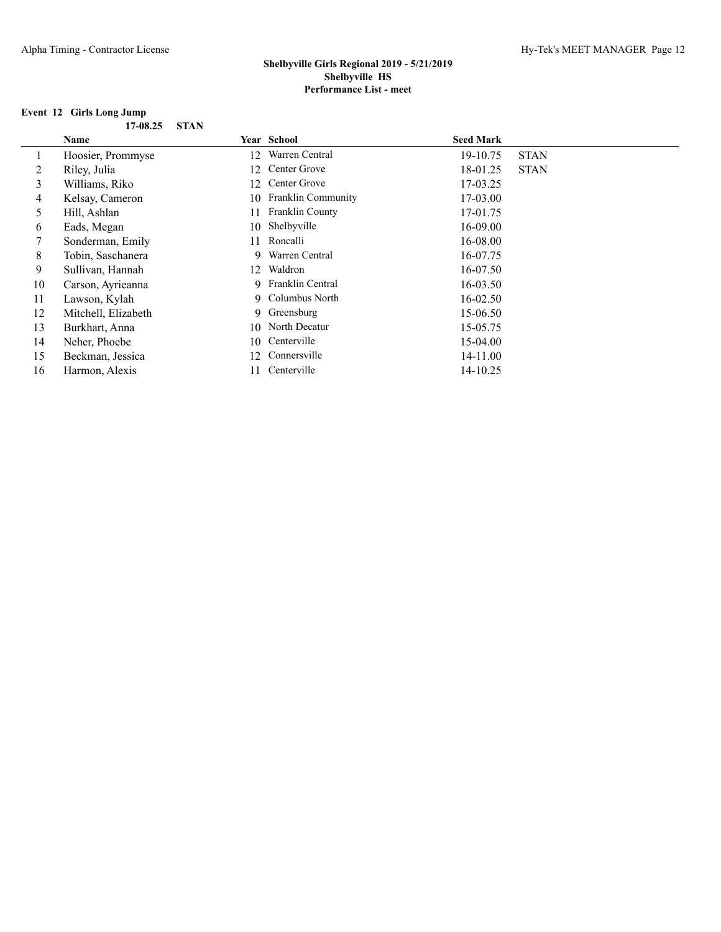## **Event 12 Girls Long Jump**

|    | Name                |    | Year School           | <b>Seed Mark</b> |             |
|----|---------------------|----|-----------------------|------------------|-------------|
|    | Hoosier, Prommyse   | 12 | Warren Central        | 19-10.75         | <b>STAN</b> |
| 2  | Riley, Julia        | 12 | Center Grove          | 18-01.25         | <b>STAN</b> |
| 3  | Williams, Riko      | 12 | Center Grove          | 17-03.25         |             |
| 4  | Kelsay, Cameron     |    | 10 Franklin Community | 17-03.00         |             |
| 5  | Hill, Ashlan        | 11 | Franklin County       | 17-01.75         |             |
| 6  | Eads, Megan         | 10 | Shelbyville           | 16-09.00         |             |
| 7  | Sonderman, Emily    | 11 | Roncalli              | 16-08.00         |             |
| 8  | Tobin, Saschanera   | 9. | Warren Central        | 16-07.75         |             |
| 9  | Sullivan, Hannah    | 12 | Waldron               | 16-07.50         |             |
| 10 | Carson, Ayrieanna   |    | 9 Franklin Central    | $16 - 03.50$     |             |
| 11 | Lawson, Kylah       |    | 9 Columbus North      | $16 - 02.50$     |             |
| 12 | Mitchell, Elizabeth | 9. | Greensburg            | 15-06.50         |             |
| 13 | Burkhart, Anna      | 10 | North Decatur         | 15-05.75         |             |
| 14 | Neher, Phoebe       | 10 | Centerville           | 15-04.00         |             |
| 15 | Beckman, Jessica    | 12 | Connersville          | 14-11.00         |             |
| 16 | Harmon, Alexis      |    | Centerville           | 14-10.25         |             |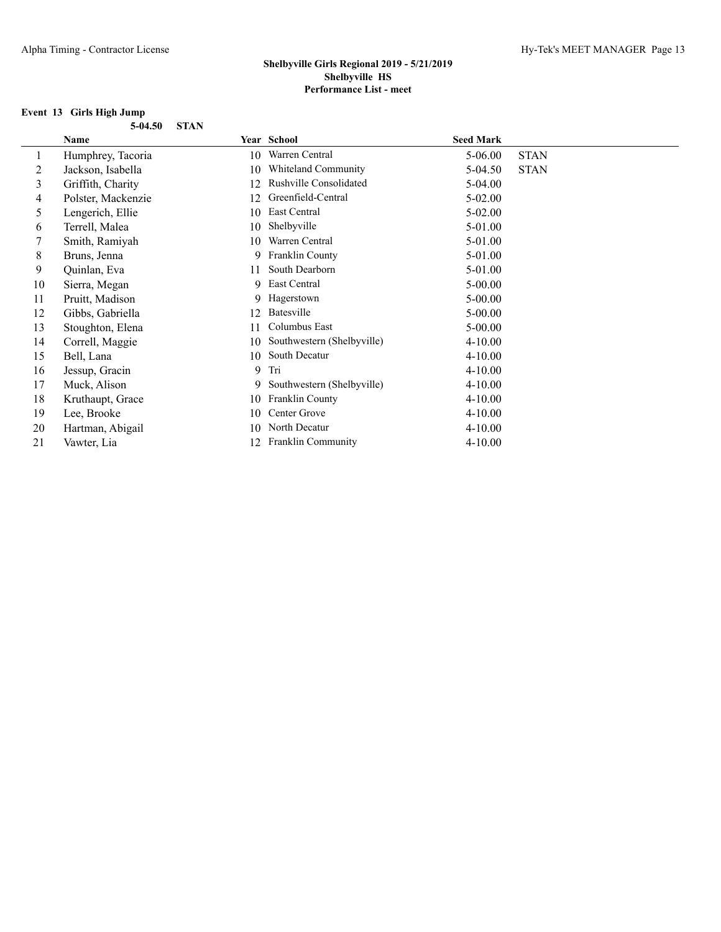## **Event 13 Girls High Jump**

| 5-04.50 STAN |  |
|--------------|--|
|              |  |

|    | Name               |    | Year School                | <b>Seed Mark</b> |             |
|----|--------------------|----|----------------------------|------------------|-------------|
|    | Humphrey, Tacoria  | 10 | Warren Central             | 5-06.00          | <b>STAN</b> |
| 2  | Jackson, Isabella  | 10 | Whiteland Community        | 5-04.50          | <b>STAN</b> |
| 3  | Griffith, Charity  | 12 | Rushville Consolidated     | $5-04.00$        |             |
| 4  | Polster, Mackenzie | 12 | Greenfield-Central         | $5 - 02.00$      |             |
| 5  | Lengerich, Ellie   | 10 | East Central               | $5 - 02.00$      |             |
| 6  | Terrell, Malea     | 10 | Shelbyville                | 5-01.00          |             |
|    | Smith, Ramiyah     | 10 | Warren Central             | 5-01.00          |             |
| 8  | Bruns, Jenna       | 9  | Franklin County            | 5-01.00          |             |
| 9  | Quinlan, Eva       | 11 | South Dearborn             | 5-01.00          |             |
| 10 | Sierra, Megan      | 9  | East Central               | $5 - 00.00$      |             |
| 11 | Pruitt, Madison    | 9. | Hagerstown                 | $5 - 00.00$      |             |
| 12 | Gibbs, Gabriella   | 12 | Batesville                 | $5 - 00.00$      |             |
| 13 | Stoughton, Elena   | 11 | Columbus East              | $5 - 00.00$      |             |
| 14 | Correll, Maggie    | 10 | Southwestern (Shelbyville) | $4 - 10.00$      |             |
| 15 | Bell, Lana         | 10 | South Decatur              | $4 - 10.00$      |             |
| 16 | Jessup, Gracin     | 9  | Tri                        | $4 - 10.00$      |             |
| 17 | Muck, Alison       | 9. | Southwestern (Shelbyville) | $4 - 10.00$      |             |
| 18 | Kruthaupt, Grace   | 10 | Franklin County            | $4 - 10.00$      |             |
| 19 | Lee, Brooke        | 10 | Center Grove               | $4 - 10.00$      |             |
| 20 | Hartman, Abigail   | 10 | North Decatur              | $4 - 10.00$      |             |
| 21 | Vawter, Lia        | 12 | Franklin Community         | $4 - 10.00$      |             |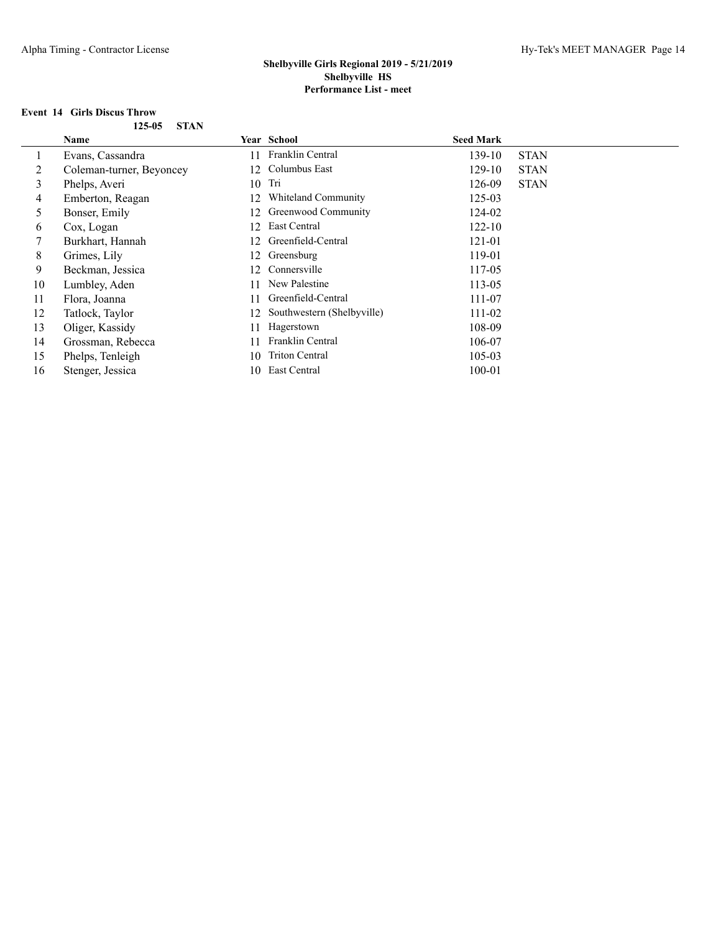# **Event 14 Girls Discus Throw**

| 125-05 | STAN |
|--------|------|
|        |      |

|    | Name                     |    | Year School                | <b>Seed Mark</b> |             |
|----|--------------------------|----|----------------------------|------------------|-------------|
|    | Evans, Cassandra         | 11 | Franklin Central           | 139-10           | <b>STAN</b> |
| 2  | Coleman-turner, Beyoncey | 12 | Columbus East              | 129-10           | <b>STAN</b> |
| 3  | Phelps, Averi            |    | $10$ Tri                   | 126-09           | <b>STAN</b> |
| 4  | Emberton, Reagan         | 12 | Whiteland Community        | $125 - 03$       |             |
| 5  | Bonser, Emily            | 12 | Greenwood Community        | 124-02           |             |
| 6  | Cox, Logan               | 12 | East Central               | $122 - 10$       |             |
| 7  | Burkhart, Hannah         | 12 | Greenfield-Central         | 121-01           |             |
| 8  | Grimes, Lily             | 12 | Greensburg                 | 119-01           |             |
| 9  | Beckman, Jessica         | 12 | Connersville               | 117-05           |             |
| 10 | Lumbley, Aden            | 11 | New Palestine              | 113-05           |             |
| 11 | Flora, Joanna            | 11 | Greenfield-Central         | 111-07           |             |
| 12 | Tatlock, Taylor          | 12 | Southwestern (Shelbyville) | 111-02           |             |
| 13 | Oliger, Kassidy          | 11 | Hagerstown                 | 108-09           |             |
| 14 | Grossman, Rebecca        | 11 | Franklin Central           | 106-07           |             |
| 15 | Phelps, Tenleigh         | 10 | <b>Triton Central</b>      | $105 - 03$       |             |
| 16 | Stenger, Jessica         | 10 | East Central               | $100 - 01$       |             |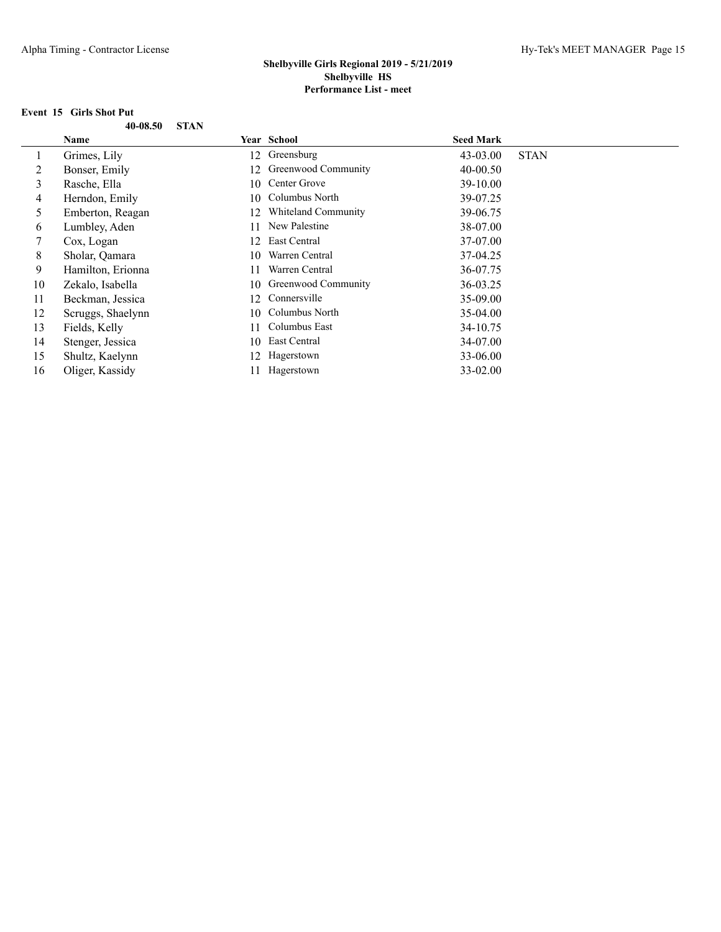## **Event 15 Girls Shot Put**

| 40-08.50 STAN |  |
|---------------|--|
|               |  |

|    | Name              |    | Year School         | <b>Seed Mark</b> |             |
|----|-------------------|----|---------------------|------------------|-------------|
|    | Grimes, Lily      | 12 | Greensburg          | 43-03.00         | <b>STAN</b> |
| 2  | Bonser, Emily     | 12 | Greenwood Community | 40-00.50         |             |
| 3  | Rasche, Ella      | 10 | Center Grove        | 39-10.00         |             |
| 4  | Herndon, Emily    |    | 10 Columbus North   | 39-07.25         |             |
| 5  | Emberton, Reagan  | 12 | Whiteland Community | 39-06.75         |             |
| 6  | Lumbley, Aden     | 11 | New Palestine       | 38-07.00         |             |
| 7  | Cox, Logan        | 12 | East Central        | 37-07.00         |             |
| 8  | Sholar, Qamara    | 10 | Warren Central      | 37-04.25         |             |
| 9  | Hamilton, Erionna | 11 | Warren Central      | 36-07.75         |             |
| 10 | Zekalo, Isabella  | 10 | Greenwood Community | 36-03.25         |             |
| 11 | Beckman, Jessica  | 12 | Connersville        | 35-09.00         |             |
| 12 | Scruggs, Shaelynn |    | 10 Columbus North   | $35-04.00$       |             |
| 13 | Fields, Kelly     | 11 | Columbus East       | 34-10.75         |             |
| 14 | Stenger, Jessica  | 10 | East Central        | 34-07.00         |             |
| 15 | Shultz, Kaelynn   | 12 | Hagerstown          | 33-06.00         |             |
| 16 | Oliger, Kassidy   |    | Hagerstown          | 33-02.00         |             |